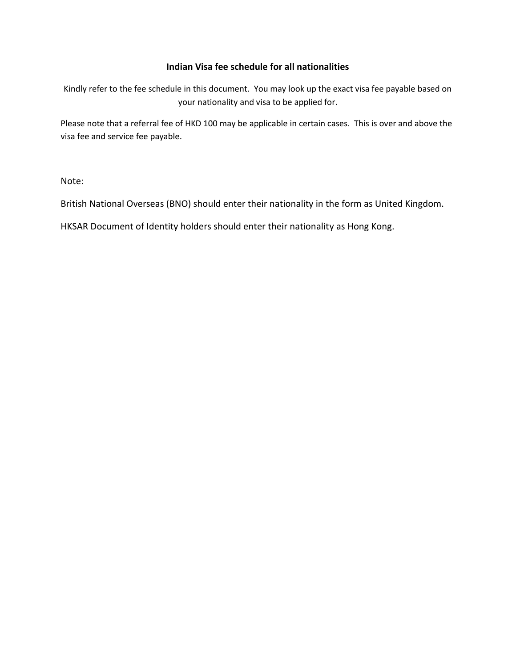#### **Indian Visa fee schedule for all nationalities**

Kindly refer to the fee schedule in this document. You may look up the exact visa fee payable based on your nationality and visa to be applied for.

Please note that a referral fee of HKD 100 may be applicable in certain cases. This is over and above the visa fee and service fee payable.

Note:

British National Overseas (BNO) should enter their nationality in the form as United Kingdom.

HKSAR Document of Identity holders should enter their nationality as Hong Kong.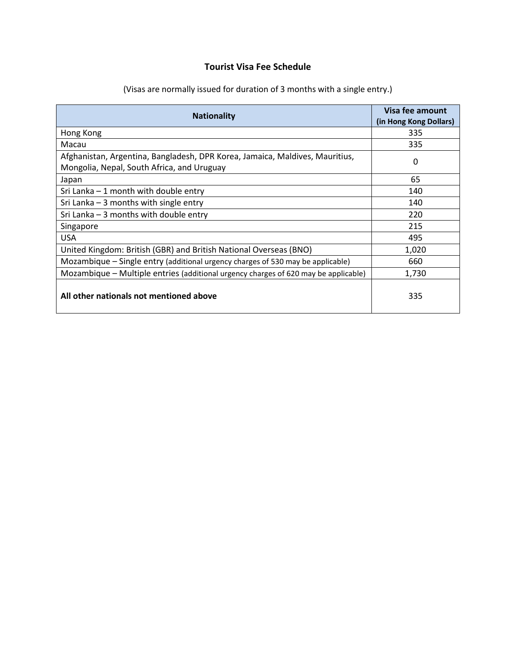# **Tourist Visa Fee Schedule**

| <b>Nationality</b>                                                                                                         | Visa fee amount<br>(in Hong Kong Dollars) |  |
|----------------------------------------------------------------------------------------------------------------------------|-------------------------------------------|--|
| Hong Kong                                                                                                                  | 335                                       |  |
| Macau                                                                                                                      | 335                                       |  |
| Afghanistan, Argentina, Bangladesh, DPR Korea, Jamaica, Maldives, Mauritius,<br>Mongolia, Nepal, South Africa, and Uruguay | 0                                         |  |
| Japan                                                                                                                      | 65                                        |  |
| Sri Lanka $-1$ month with double entry                                                                                     | 140                                       |  |
| Sri Lanka $-3$ months with single entry                                                                                    | 140                                       |  |
| Sri Lanka $-3$ months with double entry                                                                                    | 220                                       |  |
| Singapore                                                                                                                  | 215                                       |  |
| <b>USA</b>                                                                                                                 | 495                                       |  |
| United Kingdom: British (GBR) and British National Overseas (BNO)                                                          | 1,020                                     |  |
| Mozambique – Single entry (additional urgency charges of 530 may be applicable)                                            | 660                                       |  |
| Mozambique - Multiple entries (additional urgency charges of 620 may be applicable)                                        | 1,730                                     |  |
| All other nationals not mentioned above                                                                                    | 335                                       |  |

(Visas are normally issued for duration of 3 months with a single entry.)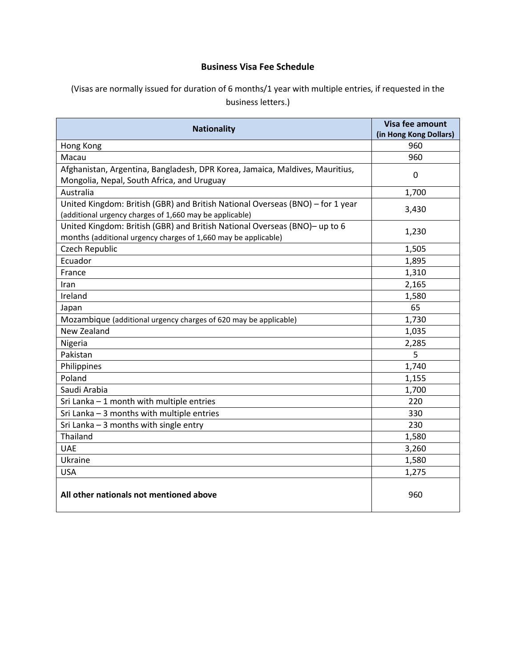## **Business Visa Fee Schedule**

## (Visas are normally issued for duration of 6 months/1 year with multiple entries, if requested in the business letters.)

| <b>Nationality</b>                                                                                                                           | Visa fee amount<br>(in Hong Kong Dollars) |
|----------------------------------------------------------------------------------------------------------------------------------------------|-------------------------------------------|
| Hong Kong                                                                                                                                    | 960                                       |
| Macau                                                                                                                                        | 960                                       |
| Afghanistan, Argentina, Bangladesh, DPR Korea, Jamaica, Maldives, Mauritius,<br>Mongolia, Nepal, South Africa, and Uruguay                   | $\mathbf 0$                               |
| Australia                                                                                                                                    | 1,700                                     |
| United Kingdom: British (GBR) and British National Overseas (BNO) - for 1 year<br>(additional urgency charges of 1,660 may be applicable)    | 3,430                                     |
| United Kingdom: British (GBR) and British National Overseas (BNO)- up to 6<br>months (additional urgency charges of 1,660 may be applicable) | 1,230                                     |
| Czech Republic                                                                                                                               | 1,505                                     |
| Ecuador                                                                                                                                      | 1,895                                     |
| France                                                                                                                                       | 1,310                                     |
| Iran                                                                                                                                         | 2,165                                     |
| Ireland                                                                                                                                      | 1,580                                     |
| Japan                                                                                                                                        | 65                                        |
| Mozambique (additional urgency charges of 620 may be applicable)                                                                             | 1,730                                     |
| New Zealand                                                                                                                                  | 1,035                                     |
| Nigeria                                                                                                                                      | 2,285                                     |
| Pakistan                                                                                                                                     | 5                                         |
| Philippines                                                                                                                                  | 1,740                                     |
| Poland                                                                                                                                       | 1,155                                     |
| Saudi Arabia                                                                                                                                 | 1,700                                     |
| Sri Lanka - 1 month with multiple entries                                                                                                    | 220                                       |
| Sri Lanka - 3 months with multiple entries                                                                                                   | 330                                       |
| Sri Lanka $-3$ months with single entry                                                                                                      | 230                                       |
| Thailand                                                                                                                                     | 1,580                                     |
| <b>UAE</b>                                                                                                                                   | 3,260                                     |
| Ukraine                                                                                                                                      | 1,580                                     |
| <b>USA</b>                                                                                                                                   | 1,275                                     |
| All other nationals not mentioned above                                                                                                      | 960                                       |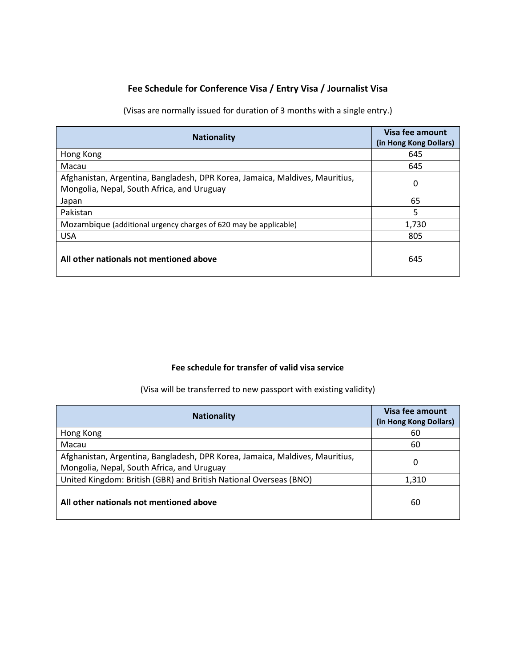## **Fee Schedule for Conference Visa / Entry Visa / Journalist Visa**

(Visas are normally issued for duration of 3 months with a single entry.)

| <b>Nationality</b>                                                                                                         | Visa fee amount<br>(in Hong Kong Dollars) |
|----------------------------------------------------------------------------------------------------------------------------|-------------------------------------------|
| Hong Kong                                                                                                                  | 645                                       |
| Macau                                                                                                                      | 645                                       |
| Afghanistan, Argentina, Bangladesh, DPR Korea, Jamaica, Maldives, Mauritius,<br>Mongolia, Nepal, South Africa, and Uruguay | 0                                         |
| Japan                                                                                                                      | 65                                        |
| Pakistan                                                                                                                   | 5                                         |
| Mozambique (additional urgency charges of 620 may be applicable)                                                           | 1,730                                     |
| <b>USA</b>                                                                                                                 | 805                                       |
| All other nationals not mentioned above                                                                                    | 645                                       |

#### **Fee schedule for transfer of valid visa service**

(Visa will be transferred to new passport with existing validity)

| <b>Nationality</b>                                                           | Visa fee amount<br>(in Hong Kong Dollars) |
|------------------------------------------------------------------------------|-------------------------------------------|
| Hong Kong                                                                    | 60                                        |
| Macau                                                                        | 60                                        |
| Afghanistan, Argentina, Bangladesh, DPR Korea, Jamaica, Maldives, Mauritius, | O                                         |
| Mongolia, Nepal, South Africa, and Uruguay                                   |                                           |
| United Kingdom: British (GBR) and British National Overseas (BNO)            | 1,310                                     |
| All other nationals not mentioned above                                      | 60                                        |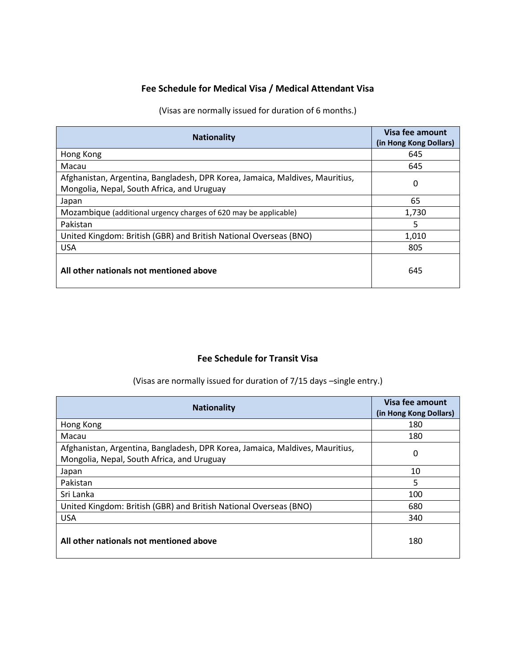#### **Fee Schedule for Medical Visa / Medical Attendant Visa**

(Visas are normally issued for duration of 6 months.)

| <b>Nationality</b>                                                                                                         | Visa fee amount<br>(in Hong Kong Dollars) |
|----------------------------------------------------------------------------------------------------------------------------|-------------------------------------------|
| Hong Kong                                                                                                                  | 645                                       |
| Macau                                                                                                                      | 645                                       |
| Afghanistan, Argentina, Bangladesh, DPR Korea, Jamaica, Maldives, Mauritius,<br>Mongolia, Nepal, South Africa, and Uruguay | 0                                         |
| Japan                                                                                                                      | 65                                        |
| Mozambique (additional urgency charges of 620 may be applicable)                                                           | 1,730                                     |
| Pakistan                                                                                                                   | 5                                         |
| United Kingdom: British (GBR) and British National Overseas (BNO)                                                          | 1.010                                     |
| <b>USA</b>                                                                                                                 | 805                                       |
| All other nationals not mentioned above                                                                                    | 645                                       |

## **Fee Schedule for Transit Visa**

(Visas are normally issued for duration of 7/15 days -single entry.)

| <b>Nationality</b>                                                                                                         | Visa fee amount<br>(in Hong Kong Dollars) |
|----------------------------------------------------------------------------------------------------------------------------|-------------------------------------------|
| Hong Kong                                                                                                                  | 180                                       |
| Macau                                                                                                                      | 180                                       |
| Afghanistan, Argentina, Bangladesh, DPR Korea, Jamaica, Maldives, Mauritius,<br>Mongolia, Nepal, South Africa, and Uruguay | 0                                         |
| Japan                                                                                                                      | 10                                        |
| Pakistan                                                                                                                   | 5                                         |
| Sri Lanka                                                                                                                  | 100                                       |
| United Kingdom: British (GBR) and British National Overseas (BNO)                                                          | 680                                       |
| <b>USA</b>                                                                                                                 | 340                                       |
| All other nationals not mentioned above                                                                                    | 180                                       |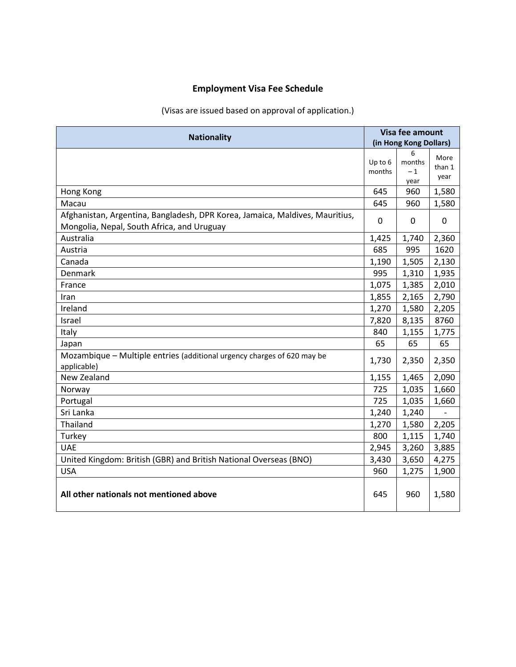# **Employment Visa Fee Schedule**

## (Visas are issued based on approval of application.)

| <b>Nationality</b>                                                                                                         | Visa fee amount<br>(in Hong Kong Dollars) |                     |                        |
|----------------------------------------------------------------------------------------------------------------------------|-------------------------------------------|---------------------|------------------------|
|                                                                                                                            | Up to 6<br>months                         | 6<br>months<br>$-1$ | More<br>than 1<br>year |
| Hong Kong                                                                                                                  | 645                                       | year<br>960         | 1,580                  |
| Macau                                                                                                                      | 645                                       | 960                 | 1,580                  |
| Afghanistan, Argentina, Bangladesh, DPR Korea, Jamaica, Maldives, Mauritius,<br>Mongolia, Nepal, South Africa, and Uruguay | $\Omega$                                  | 0                   | $\Omega$               |
| Australia                                                                                                                  | 1,425                                     | 1,740               | 2,360                  |
| Austria                                                                                                                    | 685                                       | 995                 | 1620                   |
| Canada                                                                                                                     | 1,190                                     | 1,505               | 2,130                  |
| Denmark                                                                                                                    | 995                                       | 1,310               | 1,935                  |
| France                                                                                                                     | 1,075                                     | 1,385               | 2,010                  |
| Iran                                                                                                                       | 1,855                                     | 2,165               | 2,790                  |
| Ireland                                                                                                                    | 1,270                                     | 1,580               | 2,205                  |
| Israel                                                                                                                     | 7,820                                     | 8,135               | 8760                   |
| Italy                                                                                                                      | 840                                       | 1,155               | 1,775                  |
| Japan                                                                                                                      | 65                                        | 65                  | 65                     |
| Mozambique – Multiple entries (additional urgency charges of 620 may be<br>applicable)                                     | 1,730                                     | 2,350               | 2,350                  |
| New Zealand                                                                                                                | 1,155                                     | 1,465               | 2,090                  |
| Norway                                                                                                                     | 725                                       | 1,035               | 1,660                  |
| Portugal                                                                                                                   | 725                                       | 1,035               | 1,660                  |
| Sri Lanka                                                                                                                  | 1,240                                     | 1,240               |                        |
| Thailand                                                                                                                   | 1,270                                     | 1,580               | 2,205                  |
| Turkey                                                                                                                     | 800                                       | 1,115               | 1,740                  |
| <b>UAE</b>                                                                                                                 | 2,945                                     | 3,260               | 3,885                  |
| United Kingdom: British (GBR) and British National Overseas (BNO)                                                          | 3,430                                     | 3,650               | 4,275                  |
| <b>USA</b>                                                                                                                 | 960                                       | 1,275               | 1,900                  |
| All other nationals not mentioned above                                                                                    | 645                                       | 960                 | 1,580                  |